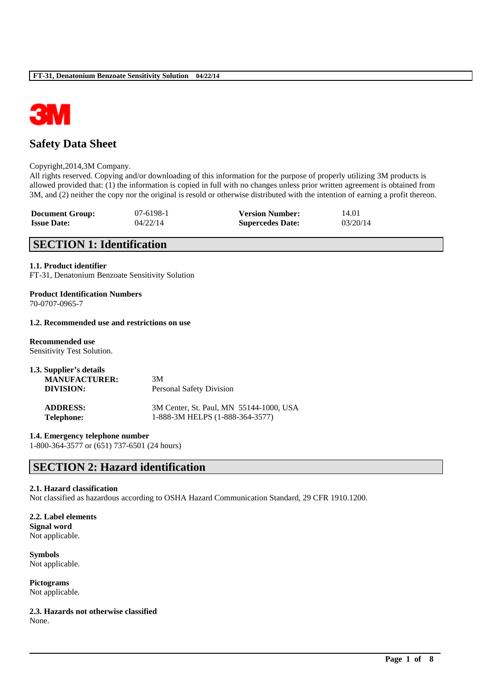

# **Safety Data Sheet**

#### Copyright,2014,3M Company.

All rights reserved. Copying and/or downloading of this information for the purpose of properly utilizing 3M products is allowed provided that: (1) the information is copied in full with no changes unless prior written agreement is obtained from 3M, and (2) neither the copy nor the original is resold or otherwise distributed with the intention of earning a profit thereon.

| <b>Document Group:</b> | 07-6198-1 | <b>Version Number:</b>  | 14.01    |
|------------------------|-----------|-------------------------|----------|
| <b>Issue Date:</b>     | 04/22/14  | <b>Supercedes Date:</b> | 03/20/14 |

# **SECTION 1: Identification**

#### **1.1. Product identifier**

FT-31, Denatonium Benzoate Sensitivity Solution

# **Product Identification Numbers**

70-0707-0965-7

#### **1.2. Recommended use and restrictions on use**

### **Recommended use**

Sensitivity Test Solution.

| 1.3. Supplier's details |                                         |
|-------------------------|-----------------------------------------|
| <b>MANUFACTURER:</b>    | 3M                                      |
| DIVISION:               | <b>Personal Safety Division</b>         |
| <b>ADDRESS:</b>         | 3M Center, St. Paul, MN 55144-1000, USA |
| <b>Telephone:</b>       | 1-888-3M HELPS (1-888-364-3577)         |

**1.4. Emergency telephone number**

1-800-364-3577 or (651) 737-6501 (24 hours)

# **SECTION 2: Hazard identification**

#### **2.1. Hazard classification**

Not classified as hazardous according to OSHA Hazard Communication Standard, 29 CFR 1910.1200.

\_\_\_\_\_\_\_\_\_\_\_\_\_\_\_\_\_\_\_\_\_\_\_\_\_\_\_\_\_\_\_\_\_\_\_\_\_\_\_\_\_\_\_\_\_\_\_\_\_\_\_\_\_\_\_\_\_\_\_\_\_\_\_\_\_\_\_\_\_\_\_\_\_\_\_\_\_\_\_\_\_\_\_\_\_\_\_\_\_\_

### **2.2. Label elements**

**Signal word** Not applicable.

**Symbols** Not applicable.

**Pictograms** Not applicable.

**2.3. Hazards not otherwise classified** None.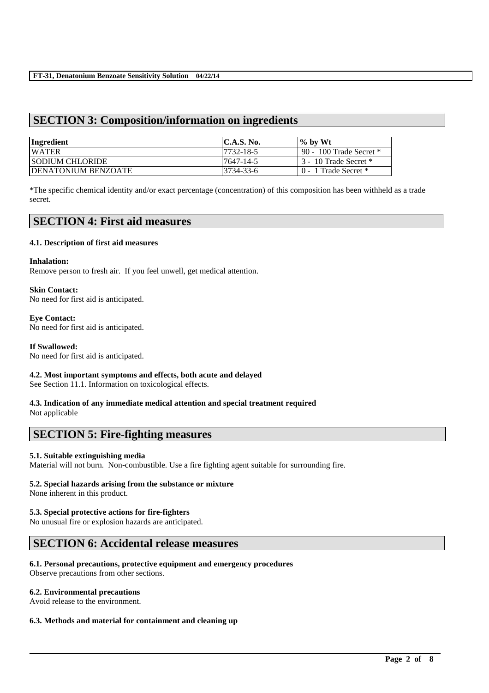## **SECTION 3: Composition/information on ingredients**

| Ingredient                  | $\mathsf{IC.A.S.}\$ No. | $\%$ by Wt                |
|-----------------------------|-------------------------|---------------------------|
| <b>WATER</b>                | 17732-18-5              | 90 - 100 Trade Secret $*$ |
| <b>ISODIUM CHLORIDE</b>     | 7647-14-5               | 3 - 10 Trade Secret *     |
| <b>IDENATONIUM BENZOATE</b> | 3734-33-6               | $0 - 1$ Trade Secret $*$  |

\*The specific chemical identity and/or exact percentage (concentration) of this composition has been withheld as a trade secret.

### **SECTION 4: First aid measures**

#### **4.1. Description of first aid measures**

#### **Inhalation:**

Remove person to fresh air. If you feel unwell, get medical attention.

#### **Skin Contact:**  No need for first aid is anticipated.

#### **Eye Contact:**  No need for first aid is anticipated.

#### **If Swallowed:**

No need for first aid is anticipated.

# **4.2. Most important symptoms and effects, both acute and delayed**

See Section 11.1. Information on toxicological effects.

# **4.3. Indication of any immediate medical attention and special treatment required**

Not applicable

# **SECTION 5: Fire-fighting measures**

#### **5.1. Suitable extinguishing media**

Material will not burn. Non-combustible. Use a fire fighting agent suitable for surrounding fire.

\_\_\_\_\_\_\_\_\_\_\_\_\_\_\_\_\_\_\_\_\_\_\_\_\_\_\_\_\_\_\_\_\_\_\_\_\_\_\_\_\_\_\_\_\_\_\_\_\_\_\_\_\_\_\_\_\_\_\_\_\_\_\_\_\_\_\_\_\_\_\_\_\_\_\_\_\_\_\_\_\_\_\_\_\_\_\_\_\_\_

### **5.2. Special hazards arising from the substance or mixture**

None inherent in this product.

#### **5.3. Special protective actions for fire-fighters**

No unusual fire or explosion hazards are anticipated.

# **SECTION 6: Accidental release measures**

#### **6.1. Personal precautions, protective equipment and emergency procedures**

Observe precautions from other sections.

#### **6.2. Environmental precautions**

Avoid release to the environment.

#### **6.3. Methods and material for containment and cleaning up**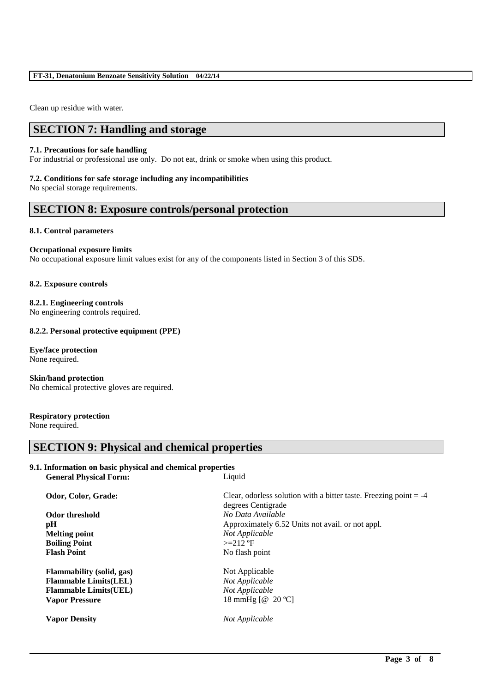Clean up residue with water.

# **SECTION 7: Handling and storage**

#### **7.1. Precautions for safe handling**

For industrial or professional use only. Do not eat, drink or smoke when using this product.

#### **7.2. Conditions for safe storage including any incompatibilities**

No special storage requirements.

### **SECTION 8: Exposure controls/personal protection**

#### **8.1. Control parameters**

#### **Occupational exposure limits**

No occupational exposure limit values exist for any of the components listed in Section 3 of this SDS.

#### **8.2. Exposure controls**

**8.2.1. Engineering controls** No engineering controls required.

#### **8.2.2. Personal protective equipment (PPE)**

#### **Eye/face protection**

None required.

**Skin/hand protection** No chemical protective gloves are required.

### **Respiratory protection**

None required.

### **SECTION 9: Physical and chemical properties**

#### **9.1. Information on basic physical and chemical properties General Physical Form:** Liquid

**Melting point** *Not Applicable* **Boiling Point** >=212 °F **Flash Point** No flash point

**Flammability (solid, gas)** Not Applicable **Flammable Limits(LEL)** *Not Applicable* **Flammable Limits(UEL)** *Not Applicable* **Vapor Pressure** 18 mmHg [@ 20 °C]

**Odor, Color, Grade: Clear, odorless solution with a bitter taste. Freezing point = -4** degrees Centigrade **Odor threshold** *No Data Available* **pH** Approximately 6.52 Units not avail. or not appl.

**Vapor Density** *Not Applicable*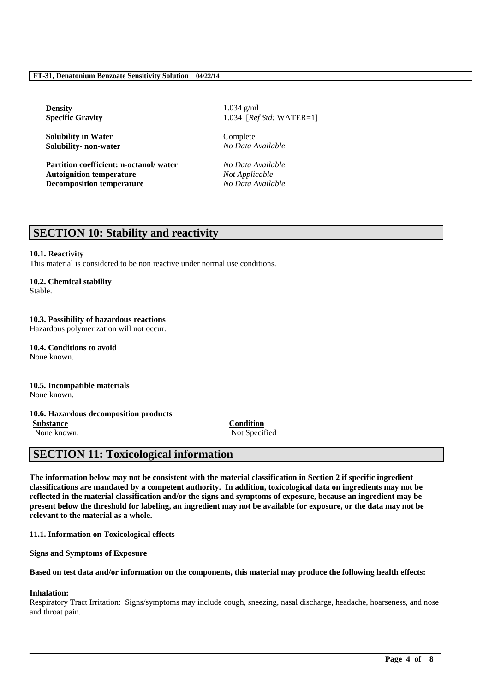**Density** 1.034 g/ml

**Solubility in Water** Complete **Solubility- non-water** *No Data Available*

**Partition coefficient: n-octanol/ water** *No Data Available* **Autoignition temperature** *Not Applicable* **Decomposition temperature** *No Data Available*

**Specific Gravity** 1.034 [*Ref Std:* WATER=1]

# **SECTION 10: Stability and reactivity**

#### **10.1. Reactivity**

This material is considered to be non reactive under normal use conditions.

#### **10.2. Chemical stability**

Stable.

## **10.3. Possibility of hazardous reactions**

Hazardous polymerization will not occur.

**10.4. Conditions to avoid** None known.

#### **10.5. Incompatible materials** None known.

#### **10.6. Hazardous decomposition products**

**Substance Condition**

None known. Not Specified

# **SECTION 11: Toxicological information**

**The information below may not be consistent with the material classification in Section 2 if specific ingredient classifications are mandated by a competent authority. In addition, toxicological data on ingredients may not be reflected in the material classification and/or the signs and symptoms of exposure, because an ingredient may be present below the threshold for labeling, an ingredient may not be available for exposure, or the data may not be relevant to the material as a whole.**

**11.1. Information on Toxicological effects**

**Signs and Symptoms of Exposure**

**Based on test data and/or information on the components, this material may produce the following health effects:**

#### **Inhalation:**

Respiratory Tract Irritation: Signs/symptoms may include cough, sneezing, nasal discharge, headache, hoarseness, and nose and throat pain.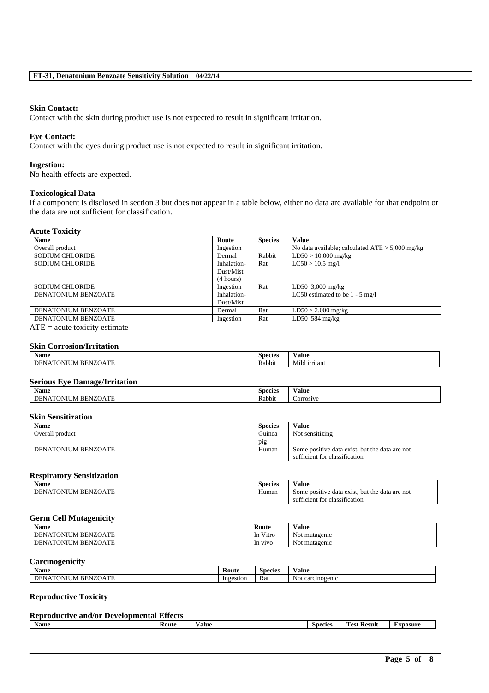#### **Skin Contact:**

Contact with the skin during product use is not expected to result in significant irritation.

#### **Eye Contact:**

Contact with the eyes during product use is not expected to result in significant irritation.

#### **Ingestion:**

No health effects are expected.

#### **Toxicological Data**

If a component is disclosed in section 3 but does not appear in a table below, either no data are available for that endpoint or the data are not sufficient for classification.

#### **Acute Toxicity**

| <b>Name</b>                | Route       | <b>Species</b> | <b>Value</b>                                      |
|----------------------------|-------------|----------------|---------------------------------------------------|
| Overall product            | Ingestion   |                | No data available; calculated $ATE > 5,000$ mg/kg |
| <b>SODIUM CHLORIDE</b>     | Dermal      | Rabbit         | $LD50 > 10,000$ mg/kg                             |
| <b>SODIUM CHLORIDE</b>     | Inhalation- | Rat            | $LC50 > 10.5$ mg/l                                |
|                            | Dust/Mist   |                |                                                   |
|                            | (4 hours)   |                |                                                   |
| <b>SODIUM CHLORIDE</b>     | Ingestion   | Rat            | LD50 $3,000 \text{ mg/kg}$                        |
| <b>DENATONIUM BENZOATE</b> | Inhalation- |                | LC50 estimated to be $1 - 5$ mg/l                 |
|                            | Dust/Mist   |                |                                                   |
| DENATONIUM BENZOATE        | Dermal      | Rat            | $LD50 > 2,000$ mg/kg                              |
| DENATONIUM BENZOATE        | Ingestion   | Rat            | LD50 584 $mg/kg$                                  |
|                            |             |                |                                                   |

 $ATE = acute$  toxicity estimate

#### **Skin Corrosion/Irritation**

| Name                                                    | $\sim$<br>Species | /alue                              |
|---------------------------------------------------------|-------------------|------------------------------------|
| . mr<br>$\overline{f}$<br>)NI<br>N<br>'ОА<br>кн<br>IVI. | Rabbit            | $- - -$<br><b>irritant</b><br>Milo |

#### **Serious Eye Damage/Irritation**

| $\bullet$<br>Name                                                                                                                                                                                                                                        | ∽<br><b>Species</b> | /alue            |
|----------------------------------------------------------------------------------------------------------------------------------------------------------------------------------------------------------------------------------------------------------|---------------------|------------------|
| . compared to the second second to the second second to the second second to the second second to the second second to the second second second second second second second second second second second second second second s<br>'JATL<br>- IN<br>l IVI | Rabbit              | <b>COLLOCATE</b> |

#### **Skin Sensitization**

| <b>Name</b>         | <b>Species</b>  | Value                                                                           |
|---------------------|-----------------|---------------------------------------------------------------------------------|
| Overall product     | Guinea          | Not sensitizing                                                                 |
|                     | p <sub>1g</sub> |                                                                                 |
| DENATONIUM BENZOATE | Human           | Some positive data exist, but the data are not<br>sufficient for classification |

#### **Respiratory Sensitization**

| Name                                            | <b>Species</b> | Value                                                                                    |
|-------------------------------------------------|----------------|------------------------------------------------------------------------------------------|
| A T<br><b>DEMITO</b><br>NZ<br>וומו<br>кн<br>ב נ | Humar          | but the<br>data are not<br>data<br>. exist<br>Some positive<br>$\sim$ $\sim$ $\sim$<br>. |
|                                                 |                | ficient for classification<br>sutti                                                      |

#### **Germ Cell Mutagenicity**

| <b>Name</b>                               | Route                       | Value                             |
|-------------------------------------------|-----------------------------|-----------------------------------|
| <b>BENZOATE</b><br>DEN.<br>FONIUM<br>NА   | $\mathbf{v}$<br>V1tro<br>1n | $\sim$ $\sim$<br>mutagenic<br>Not |
| <b>TONIUM</b><br>I BENZOATE<br>DEN.<br>NА | <b>V1VO</b><br>1n           | Not mutagenic                     |

#### **Carcinogenicity**

| <b>BT</b><br>Name                                              | Route     | Species | $\mathbf{v}$<br>Value     |
|----------------------------------------------------------------|-----------|---------|---------------------------|
| <b>COL</b><br>DE.<br>NZO<br>. INF<br>кн<br>N A<br>'NI<br>ZUATE | Ingestion | Rat     | Not.<br>rcinogenic<br>car |

### **Reproductive Toxicity**

| <b>Reproductive and/or Developmental Effects</b> |              |       |                |                    |          |
|--------------------------------------------------|--------------|-------|----------------|--------------------|----------|
| <b>Name</b>                                      | <b>Route</b> | Value | <b>Species</b> | <b>Test Result</b> | Exposure |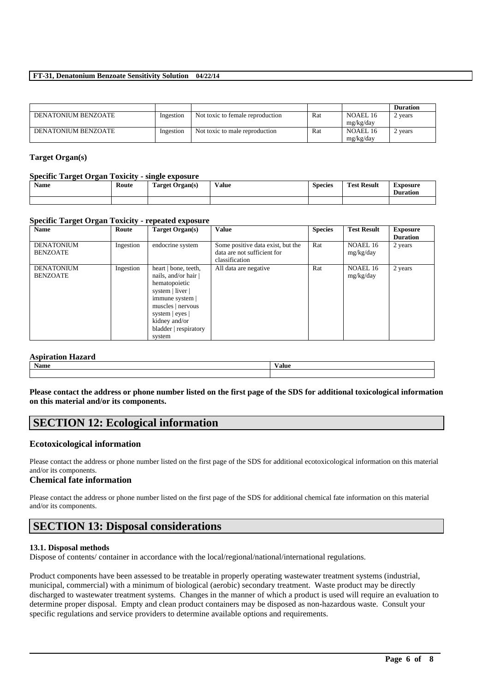#### **FT-31, Denatonium Benzoate Sensitivity Solution 04/22/14**

|                     |           |                                  |     |           | <b>Duration</b> |
|---------------------|-----------|----------------------------------|-----|-----------|-----------------|
| DENATONIUM BENZOATE | Ingestion | Not toxic to female reproduction | Rat | NOAEL 16  | ' years         |
|                     |           |                                  |     | mg/kg/day |                 |
| DENATONIUM BENZOATE | Ingestion | Not toxic to male reproduction   | Rat | NOAEL 16  | vears           |
|                     |           |                                  |     | mg/kg/day |                 |

#### **Target Organ(s)**

#### **Specific Target Organ Toxicity - single exposure**

| -------------<br><b>Name</b> | Route | -------<br>---------------<br>m.<br>Target Organ(s) | $-1$<br>Value | <b>Species</b> | <b>Test Result</b> | Exposure<br>Duration |
|------------------------------|-------|-----------------------------------------------------|---------------|----------------|--------------------|----------------------|
|                              |       |                                                     |               |                |                    |                      |

#### **Specific Target Organ Toxicity - repeated exposure**

| <b>Name</b>                          | Route     | Target Organ(s)                                                                                                                                                                                | Value                                                                              | <b>Species</b> | <b>Test Result</b>    | <b>Exposure</b> |
|--------------------------------------|-----------|------------------------------------------------------------------------------------------------------------------------------------------------------------------------------------------------|------------------------------------------------------------------------------------|----------------|-----------------------|-----------------|
|                                      |           |                                                                                                                                                                                                |                                                                                    |                |                       | <b>Duration</b> |
| <b>DENATONIUM</b><br><b>BENZOATE</b> | Ingestion | endocrine system                                                                                                                                                                               | Some positive data exist, but the<br>data are not sufficient for<br>classification | Rat            | NOAEL 16<br>mg/kg/day | 2 years         |
| <b>DENATONIUM</b><br><b>BENZOATE</b> | Ingestion | heart   bone, teeth,<br>nails, and/or hair<br>hematopoietic<br>system   liver  <br>immune system  <br>muscles   nervous<br>system   eyes  <br>kidney and/or<br>bladder   respiratory<br>system | All data are negative                                                              | Rat            | NOAEL 16<br>mg/kg/day | 2 years         |

#### **Aspiration Hazard**

| Name | $-1$<br>Value |  |
|------|---------------|--|
|      |               |  |

**Please contact the address or phone number listed on the first page of the SDS for additional toxicological information on this material and/or its components.**

# **SECTION 12: Ecological information**

#### **Ecotoxicological information**

Please contact the address or phone number listed on the first page of the SDS for additional ecotoxicological information on this material and/or its components.

#### **Chemical fate information**

Please contact the address or phone number listed on the first page of the SDS for additional chemical fate information on this material and/or its components.

# **SECTION 13: Disposal considerations**

#### **13.1. Disposal methods**

Dispose of contents/ container in accordance with the local/regional/national/international regulations.

Product components have been assessed to be treatable in properly operating wastewater treatment systems (industrial, municipal, commercial) with a minimum of biological (aerobic) secondary treatment. Waste product may be directly discharged to wastewater treatment systems. Changes in the manner of which a product is used will require an evaluation to determine proper disposal. Empty and clean product containers may be disposed as non-hazardous waste. Consult your specific regulations and service providers to determine available options and requirements.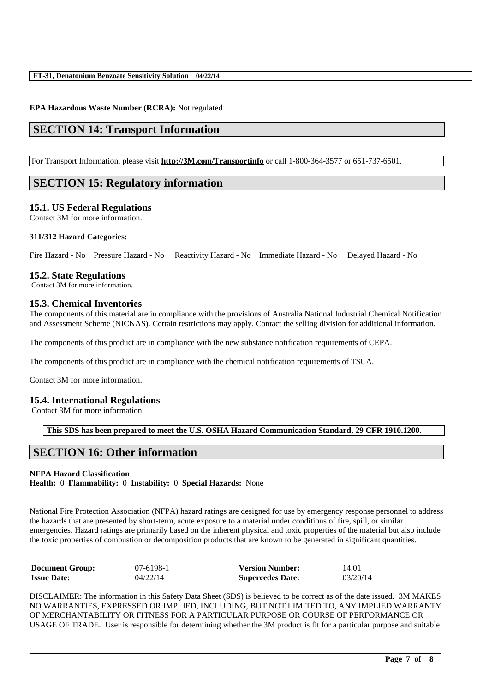### **EPA Hazardous Waste Number (RCRA):** Not regulated

# **SECTION 14: Transport Information**

For Transport Information, please visit **http://3M.com/Transportinfo** or call 1-800-364-3577 or 651-737-6501.

# **SECTION 15: Regulatory information**

### **15.1. US Federal Regulations**

Contact 3M for more information.

### **311/312 Hazard Categories:**

Fire Hazard - No Pressure Hazard - No Reactivity Hazard - No Immediate Hazard - No Delayed Hazard - No

## **15.2. State Regulations**

Contact 3M for more information.

## **15.3. Chemical Inventories**

The components of this material are in compliance with the provisions of Australia National Industrial Chemical Notification and Assessment Scheme (NICNAS). Certain restrictions may apply. Contact the selling division for additional information.

The components of this product are in compliance with the new substance notification requirements of CEPA.

The components of this product are in compliance with the chemical notification requirements of TSCA.

Contact 3M for more information.

# **15.4. International Regulations**

Contact 3M for more information.

**This SDS has been prepared to meet the U.S. OSHA Hazard Communication Standard, 29 CFR 1910.1200.**

# **SECTION 16: Other information**

### **NFPA Hazard Classification**

**Health:** 0 **Flammability:** 0 **Instability:** 0 **Special Hazards:** None

National Fire Protection Association (NFPA) hazard ratings are designed for use by emergency response personnel to address the hazards that are presented by short-term, acute exposure to a material under conditions of fire, spill, or similar emergencies. Hazard ratings are primarily based on the inherent physical and toxic properties of the material but also include the toxic properties of combustion or decomposition products that are known to be generated in significant quantities.

| <b>Document Group:</b> | 07-6198-1 | <b>Version Number:</b>  | 14.01    |
|------------------------|-----------|-------------------------|----------|
| <b>Issue Date:</b>     | 04/22/14  | <b>Supercedes Date:</b> | 03/20/14 |

DISCLAIMER: The information in this Safety Data Sheet (SDS) is believed to be correct as of the date issued. 3M MAKES NO WARRANTIES, EXPRESSED OR IMPLIED, INCLUDING, BUT NOT LIMITED TO, ANY IMPLIED WARRANTY OF MERCHANTABILITY OR FITNESS FOR A PARTICULAR PURPOSE OR COURSE OF PERFORMANCE OR USAGE OF TRADE. User is responsible for determining whether the 3M product is fit for a particular purpose and suitable